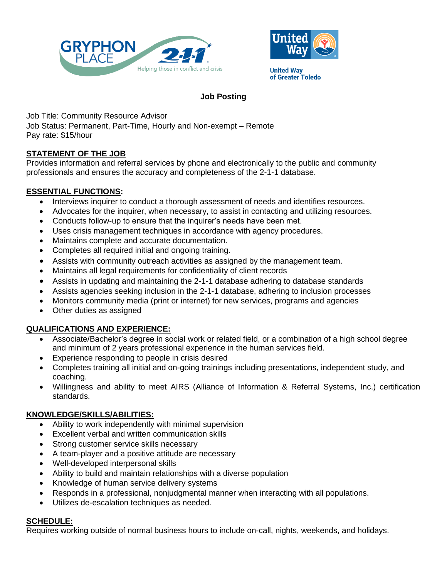



**United Way** of Greater Toledo

# **Job Posting**

Job Title: Community Resource Advisor

Job Status: Permanent, Part-Time, Hourly and Non-exempt – Remote Pay rate: \$15/hour

## **STATEMENT OF THE JOB**

Provides information and referral services by phone and electronically to the public and community professionals and ensures the accuracy and completeness of the 2-1-1 database.

### **ESSENTIAL FUNCTIONS:**

- Interviews inquirer to conduct a thorough assessment of needs and identifies resources.
- Advocates for the inquirer, when necessary, to assist in contacting and utilizing resources.
- Conducts follow-up to ensure that the inquirer's needs have been met.
- Uses crisis management techniques in accordance with agency procedures.
- Maintains complete and accurate documentation.
- Completes all required initial and ongoing training.
- Assists with community outreach activities as assigned by the management team.
- Maintains all legal requirements for confidentiality of client records
- Assists in updating and maintaining the 2-1-1 database adhering to database standards
- Assists agencies seeking inclusion in the 2-1-1 database, adhering to inclusion processes
- Monitors community media (print or internet) for new services, programs and agencies
- Other duties as assigned

### **QUALIFICATIONS AND EXPERIENCE:**

- Associate/Bachelor's degree in social work or related field, or a combination of a high school degree and minimum of 2 years professional experience in the human services field.
- Experience responding to people in crisis desired
- Completes training all initial and on-going trainings including presentations, independent study, and coaching.
- Willingness and ability to meet AIRS (Alliance of Information & Referral Systems, Inc.) certification standards.

### **KNOWLEDGE/SKILLS/ABILITIES:**

- Ability to work independently with minimal supervision
- Excellent verbal and written communication skills
- Strong customer service skills necessary
- A team-player and a positive attitude are necessary
- Well-developed interpersonal skills
- Ability to build and maintain relationships with a diverse population
- Knowledge of human service delivery systems
- Responds in a professional, nonjudgmental manner when interacting with all populations.
- Utilizes de-escalation techniques as needed.

### **SCHEDULE:**

Requires working outside of normal business hours to include on-call, nights, weekends, and holidays.